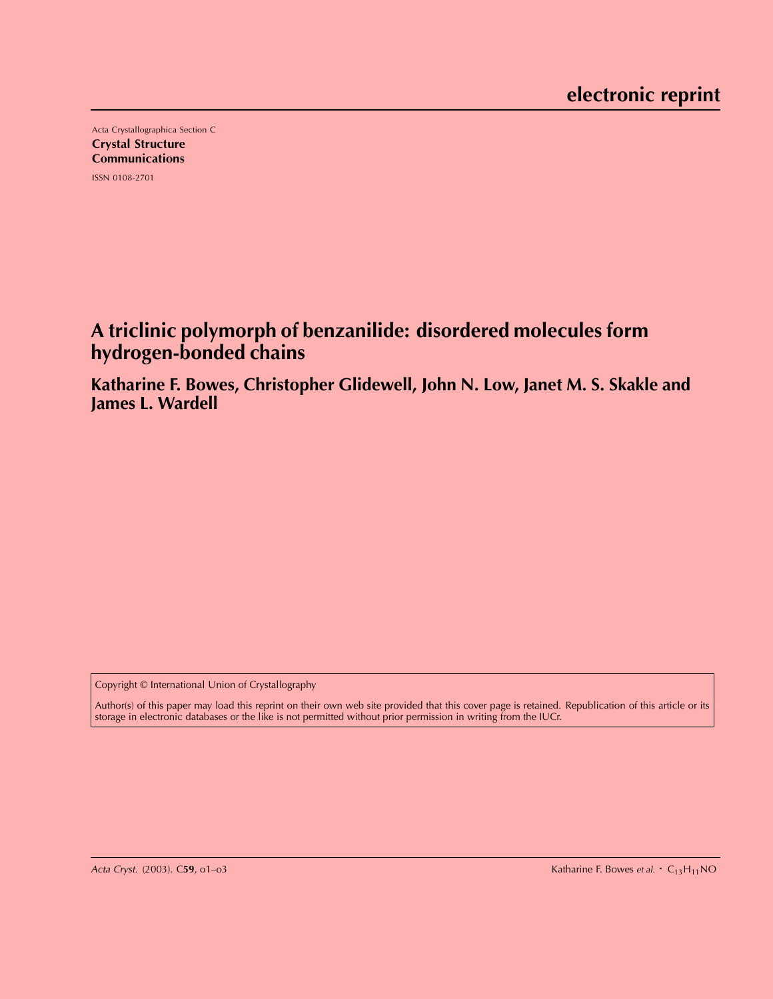Acta Crystallographica Section C Crystal Structure **Communications** ISSN 0108-2701

# **A triclinic polymorph of benzanilide: disordered molecules form hydrogen-bonded chains**

**Katharine F. Bowes, Christopher Glidewell, John N. Low, Janet M. S. Skakle and James L. Wardell**

Copyright © International Union of Crystallography

Author(s) of this paper may load this reprint on their own web site provided that this cover page is retained. Republication of this article or its storage in electronic databases or the like is not permitted without prior permission in writing from the IUCr.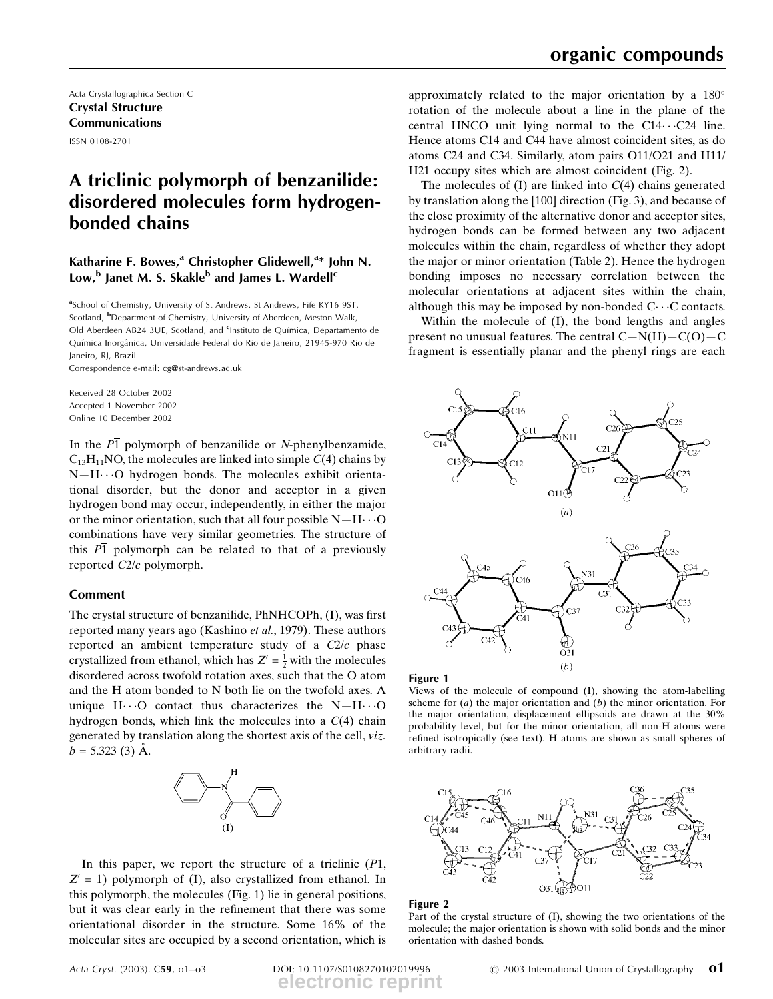Acta Crystallographica Section C Crystal Structure Communications ISSN 0108-2701

## A triclinic polymorph of benzanilide: disordered molecules form hydrogenbonded chains

## Katharine F. Bowes,<sup>a</sup> Christopher Glidewell,<sup>a\*</sup> John N. Low,<sup>b</sup> Janet M. S. Skakle<sup>b</sup> and James L. Wardell<sup>c</sup>

<sup>a</sup>School of Chemistry, University of St Andrews, St Andrews, Fife KY16 9ST, Scotland, <sup>b</sup>Department of Chemistry, University of Aberdeen, Meston Walk, Old Aberdeen AB24 3UE, Scotland, and <sup>c</sup>Instituto de Química, Departamento de Química Inorgânica, Universidade Federal do Rio de Janeiro, 21945-970 Rio de Janeiro, RJ, Brazil

Correspondence e-mail: cg@st-andrews.ac.uk

Received 28 October 2002 Accepted 1 November 2002 Online 10 December 2002

In the  $\overline{P1}$  polymorph of benzanilide or N-phenylbenzamide,  $C_{13}H_{11}NO$ , the molecules are linked into simple  $C(4)$  chains by  $N-H\cdots$ O hydrogen bonds. The molecules exhibit orientational disorder, but the donor and acceptor in a given hydrogen bond may occur, independently, in either the major or the minor orientation, such that all four possible  $N-H\cdots O$ combinations have very similar geometries. The structure of this  $P_1$  polymorph can be related to that of a previously reported C2/c polymorph.

### Comment

The crystal structure of benzanilide, PhNHCOPh, (I), was first reported many years ago (Kashino et al., 1979). These authors reported an ambient temperature study of a  $C2/c$  phase crystallized from ethanol, which has  $Z' = \frac{1}{2}$  with the molecules disordered across twofold rotation axes, such that the O atom and the H atom bonded to N both lie on the twofold axes. A unique  $H\cdots O$  contact thus characterizes the  $N-H\cdots O$ hydrogen bonds, which link the molecules into a  $C(4)$  chain generated by translation along the shortest axis of the cell, viz.  $b = 5.323$  (3) Å.



In this paper, we report the structure of a triclinic  $(P\overline{1})$ ,  $Z' = 1$ ) polymorph of (I), also crystallized from ethanol. In this polymorph, the molecules (Fig. 1) lie in general positions, but it was clear early in the refinement that there was some orientational disorder in the structure. Some 16% of the molecular sites are occupied by a second orientation, which is

approximately related to the major orientation by a 180 rotation of the molecule about a line in the plane of the central HNCO unit lying normal to the  $C14\cdots C24$  line. Hence atoms C14 and C44 have almost coincident sites, as do atoms C24 and C34. Similarly, atom pairs O11/O21 and H11/ H21 occupy sites which are almost coincident (Fig. 2).

The molecules of  $(I)$  are linked into  $C(4)$  chains generated by translation along the [100] direction (Fig. 3), and because of the close proximity of the alternative donor and acceptor sites, hydrogen bonds can be formed between any two adjacent molecules within the chain, regardless of whether they adopt the major or minor orientation (Table 2). Hence the hydrogen bonding imposes no necessary correlation between the molecular orientations at adjacent sites within the chain, although this may be imposed by non-bonded  $C \cdots C$  contacts.

Within the molecule of (I), the bond lengths and angles present no unusual features. The central  $C-N(H)-C(O)-C$ fragment is essentially planar and the phenyl rings are each



#### Figure 1

Views of the molecule of compound (I), showing the atom-labelling scheme for  $(a)$  the major orientation and  $(b)$  the minor orientation. For the major orientation, displacement ellipsoids are drawn at the 30% probability level, but for the minor orientation, all non-H atoms were refined isotropically (see text). H atoms are shown as small spheres of arbitrary radii.



#### Figure 2

Part of the crystal structure of (I), showing the two orientations of the molecule; the major orientation is shown with solid bonds and the minor orientation with dashed bonds.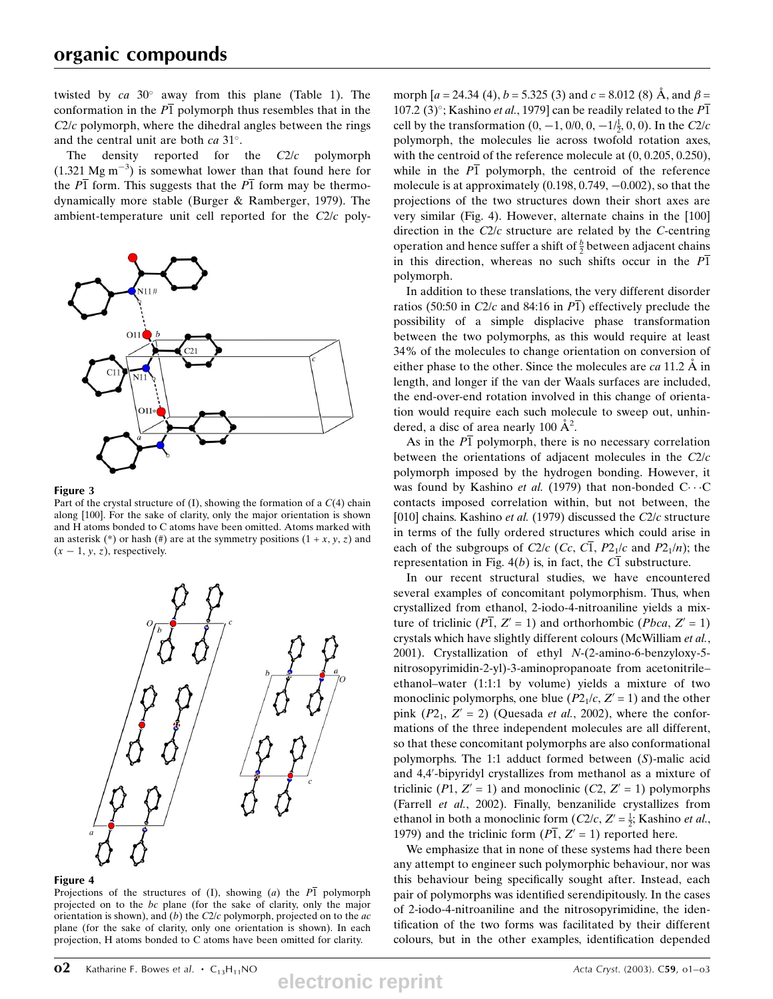twisted by  $ca$  30 $^{\circ}$  away from this plane (Table 1). The conformation in the  $P\overline{1}$  polymorph thus resembles that in the  $C2/c$  polymorph, where the dihedral angles between the rings and the central unit are both  $ca 31^\circ$ .

The density reported for the  $C2/c$  polymorph  $(1.321 \text{ Mg m}^{-3})$  is somewhat lower than that found here for the  $\overline{P1}$  form. This suggests that the  $\overline{P1}$  form may be thermodynamically more stable (Burger & Ramberger, 1979). The ambient-temperature unit cell reported for the C2/c poly-



#### Figure 3

Part of the crystal structure of  $(I)$ , showing the formation of a  $C(4)$  chain along [100]. For the sake of clarity, only the major orientation is shown and H atoms bonded to C atoms have been omitted. Atoms marked with an asterisk (\*) or hash (#) are at the symmetry positions  $(1 + x, y, z)$  and  $(x - 1, y, z)$ , respectively.



#### Figure 4

Projections of the structures of (I), showing (a) the  $\overline{P1}$  polymorph projected on to the bc plane (for the sake of clarity, only the major orientation is shown), and (b) the  $C2/c$  polymorph, projected on to the  $ac$ plane (for the sake of clarity, only one orientation is shown). In each projection, H atoms bonded to C atoms have been omitted for clarity.

morph  $[a = 24.34 (4), b = 5.325 (3)$  and  $c = 8.012 (8)$  Å, and  $\beta =$ 107.2 (3)°; Kashino *et al.*, 1979] can be readily related to the  $\overline{P1}$ cell by the transformation  $(0, -1, 0/0, 0, -1/\frac{1}{2}, 0, 0)$ . In the C2/c polymorph, the molecules lie across twofold rotation axes, with the centroid of the reference molecule at  $(0, 0.205, 0.250)$ , while in the  $\overline{P1}$  polymorph, the centroid of the reference molecule is at approximately  $(0.198, 0.749, -0.002)$ , so that the projections of the two structures down their short axes are very similar (Fig. 4). However, alternate chains in the [100] direction in the  $C2/c$  structure are related by the  $C$ -centring operation and hence suffer a shift of  $\frac{b}{2}$  between adjacent chains in this direction, whereas no such shifts occur in the  $\overline{P1}$ polymorph.

In addition to these translations, the very different disorder ratios (50:50 in C2/c and 84:16 in  $\overline{P1}$ ) effectively preclude the possibility of a simple displacive phase transformation between the two polymorphs, as this would require at least 34% of the molecules to change orientation on conversion of either phase to the other. Since the molecules are  $ca 11.2 \text{ Å}$  in length, and longer if the van der Waals surfaces are included, the end-over-end rotation involved in this change of orientation would require each such molecule to sweep out, unhindered, a disc of area nearly 100  $\AA^2$ .

As in the  $\overline{P1}$  polymorph, there is no necessary correlation between the orientations of adjacent molecules in the  $C2/c$ polymorph imposed by the hydrogen bonding. However, it was found by Kashino et al. (1979) that non-bonded  $C \cdots C$ contacts imposed correlation within, but not between, the [010] chains. Kashino et al. (1979) discussed the C2/c structure in terms of the fully ordered structures which could arise in each of the subgroups of C2/c (Cc, C1, P2<sub>1</sub>/c and P2<sub>1</sub>/n); the representation in Fig. 4(b) is, in fact, the  $C\overline{1}$  substructure.

In our recent structural studies, we have encountered several examples of concomitant polymorphism. Thus, when crystallized from ethanol, 2-iodo-4-nitroaniline yields a mixture of triclinic ( $\overline{PI}$ ,  $Z' = 1$ ) and orthorhombic (*Pbca*,  $Z' = 1$ ) crystals which have slightly different colours (McWilliam et al., 2001). Crystallization of ethyl N-(2-amino-6-benzyloxy-5 nitrosopyrimidin-2-yl)-3-aminopropanoate from acetonitrile± ethanol-water (1:1:1 by volume) yields a mixture of two monoclinic polymorphs, one blue  $(P2<sub>1</sub>/c, Z' = 1)$  and the other pink  $(P2_1, Z' = 2)$  (Quesada *et al.*, 2002), where the conformations of the three independent molecules are all different, so that these concomitant polymorphs are also conformational polymorphs. The 1:1 adduct formed between (S)-malic acid and 4,4'-bipyridyl crystallizes from methanol as a mixture of triclinic (P1,  $Z' = 1$ ) and monoclinic (C2,  $Z' = 1$ ) polymorphs (Farrell et al., 2002). Finally, benzanilide crystallizes from ethanol in both a monoclinic form  $(C2/c, Z' = \frac{1}{2}$ ; Kashino *et al.*, 1979) and the triclinic form  $(P\overline{1}, Z' = 1)$  reported here.

We emphasize that in none of these systems had there been any attempt to engineer such polymorphic behaviour, nor was this behaviour being specifically sought after. Instead, each pair of polymorphs was identified serendipitously. In the cases of 2-iodo-4-nitroaniline and the nitrosopyrimidine, the identification of the two forms was facilitated by their different colours, but in the other examples, identification depended